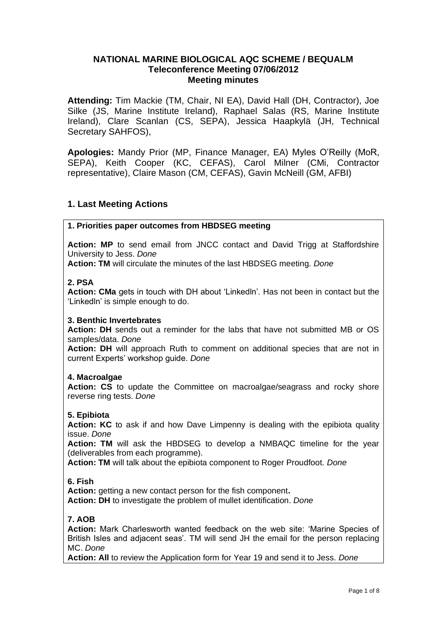## **NATIONAL MARINE BIOLOGICAL AQC SCHEME / BEQUALM Teleconference Meeting 07/06/2012 Meeting minutes**

**Attending:** Tim Mackie (TM, Chair, NI EA), David Hall (DH, Contractor), Joe Silke (JS, Marine Institute Ireland), Raphael Salas (RS, Marine Institute Ireland), Clare Scanlan (CS, SEPA), Jessica Haapkylä (JH, Technical Secretary SAHFOS),

**Apologies:** Mandy Prior (MP, Finance Manager, EA) Myles O'Reilly (MoR, SEPA), Keith Cooper (KC, CEFAS), Carol Milner (CMi, Contractor representative), Claire Mason (CM, CEFAS), Gavin McNeill (GM, AFBI)

## **1. Last Meeting Actions**

#### **1. Priorities paper outcomes from HBDSEG meeting**

**Action: MP** to send email from JNCC contact and David Trigg at Staffordshire University to Jess. *Done*

**Action: TM** will circulate the minutes of the last HBDSEG meeting. *Done*

#### **2. PSA**

**Action: CMa** gets in touch with DH about 'Linkedln'. Has not been in contact but the 'Linkedln' is simple enough to do.

#### **3. Benthic Invertebrates**

**Action: DH** sends out a reminder for the labs that have not submitted MB or OS samples/data. *Done*

**Action: DH** will approach Ruth to comment on additional species that are not in current Experts' workshop guide. *Done*

#### **4. Macroalgae**

**Action: CS** to update the Committee on macroalgae/seagrass and rocky shore reverse ring tests. *Done*

#### **5. Epibiota**

**Action: KC** to ask if and how Dave Limpenny is dealing with the epibiota quality issue. *Done*

**Action: TM** will ask the HBDSEG to develop a NMBAQC timeline for the year (deliverables from each programme).

**Action: TM** will talk about the epibiota component to Roger Proudfoot. *Done*

#### **6. Fish**

**Action:** getting a new contact person for the fish component**. Action: DH** to investigate the problem of mullet identification. *Done*

#### **7. AOB**

**Action:** Mark Charlesworth wanted feedback on the web site: 'Marine Species of British Isles and adjacent seas'. TM will send JH the email for the person replacing MC. *Done*

**Action: All** to review the Application form for Year 19 and send it to Jess. *Done*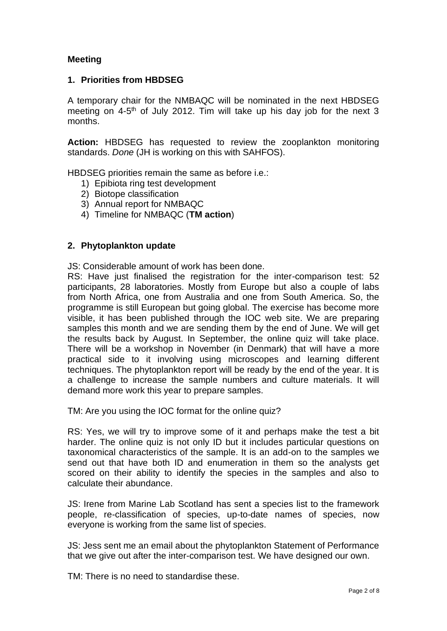# **Meeting**

### **1. Priorities from HBDSEG**

A temporary chair for the NMBAQC will be nominated in the next HBDSEG meeting on  $4-5<sup>th</sup>$  of July 2012. Tim will take up his day job for the next 3 months.

**Action:** HBDSEG has requested to review the zooplankton monitoring standards. *Done* (JH is working on this with SAHFOS).

HBDSEG priorities remain the same as before i.e.:

- 1) Epibiota ring test development
- 2) Biotope classification
- 3) Annual report for NMBAQC
- 4) Timeline for NMBAQC (**TM action**)

## **2. Phytoplankton update**

JS: Considerable amount of work has been done.

RS: Have just finalised the registration for the inter-comparison test: 52 participants, 28 laboratories. Mostly from Europe but also a couple of labs from North Africa, one from Australia and one from South America. So, the programme is still European but going global. The exercise has become more visible, it has been published through the IOC web site. We are preparing samples this month and we are sending them by the end of June. We will get the results back by August. In September, the online quiz will take place. There will be a workshop in November (in Denmark) that will have a more practical side to it involving using microscopes and learning different techniques. The phytoplankton report will be ready by the end of the year. It is a challenge to increase the sample numbers and culture materials. It will demand more work this year to prepare samples.

TM: Are you using the IOC format for the online quiz?

RS: Yes, we will try to improve some of it and perhaps make the test a bit harder. The online quiz is not only ID but it includes particular questions on taxonomical characteristics of the sample. It is an add-on to the samples we send out that have both ID and enumeration in them so the analysts get scored on their ability to identify the species in the samples and also to calculate their abundance.

JS: Irene from Marine Lab Scotland has sent a species list to the framework people, re-classification of species, up-to-date names of species, now everyone is working from the same list of species.

JS: Jess sent me an email about the phytoplankton Statement of Performance that we give out after the inter-comparison test. We have designed our own.

TM: There is no need to standardise these.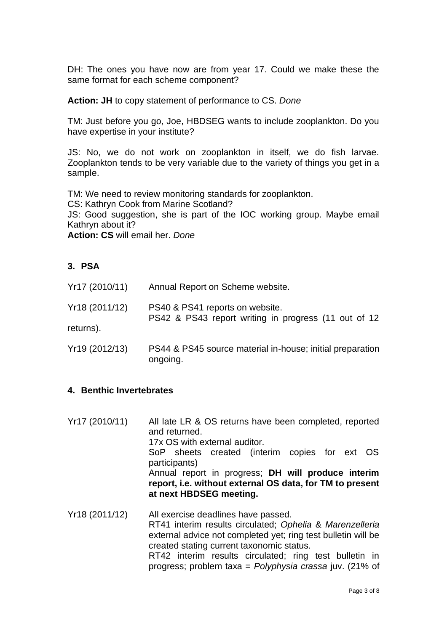DH: The ones you have now are from year 17. Could we make these the same format for each scheme component?

**Action: JH** to copy statement of performance to CS. *Done*

TM: Just before you go, Joe, HBDSEG wants to include zooplankton. Do you have expertise in your institute?

JS: No, we do not work on zooplankton in itself, we do fish larvae. Zooplankton tends to be very variable due to the variety of things you get in a sample.

TM: We need to review monitoring standards for zooplankton. CS: Kathryn Cook from Marine Scotland? JS: Good suggestion, she is part of the IOC working group. Maybe email Kathryn about it? **Action: CS** will email her. *Done*

# **3. PSA**

| Yr17(2010/11)  | Annual Report on Scheme website.                                                        |
|----------------|-----------------------------------------------------------------------------------------|
| Yr18 (2011/12) | PS40 & PS41 reports on website.<br>PS42 & PS43 report writing in progress (11 out of 12 |
| returns).      |                                                                                         |
| Yr19 (2012/13) | PS44 & PS45 source material in-house; initial preparation<br>ongoing.                   |

# **4. Benthic Invertebrates**

| Yr17 (2010/11) | All late LR & OS returns have been completed, reported<br>and returned.<br>17x OS with external auditor.<br>SoP sheets created (interim copies for ext OS<br>participants)<br>Annual report in progress; DH will produce interim<br>report, i.e. without external OS data, for TM to present<br>at next HBDSEG meeting. |
|----------------|-------------------------------------------------------------------------------------------------------------------------------------------------------------------------------------------------------------------------------------------------------------------------------------------------------------------------|
| Yr18 (2011/12) | All exercise deadlines have passed.<br>RT41 interim results circulated; Ophelia & Marenzelleria<br>external advice not completed yet; ring test bulletin will be<br>created stating current taxonomic status.                                                                                                           |

RT42 interim results circulated; ring test bulletin in progress; problem taxa = *Polyphysia crassa* juv. (21% of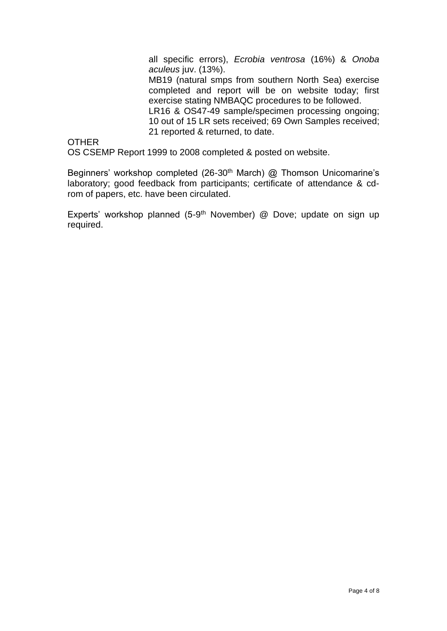all specific errors), *Ecrobia ventrosa* (16%) & *Onoba aculeus* juv. (13%).

MB19 (natural smps from southern North Sea) exercise completed and report will be on website today; first exercise stating NMBAQC procedures to be followed.

LR16 & OS47-49 sample/specimen processing ongoing; 10 out of 15 LR sets received; 69 Own Samples received; 21 reported & returned, to date.

**OTHER** 

OS CSEMP Report 1999 to 2008 completed & posted on website.

Beginners' workshop completed (26-30<sup>th</sup> March) @ Thomson Unicomarine's laboratory; good feedback from participants; certificate of attendance & cdrom of papers, etc. have been circulated.

Experts' workshop planned (5-9<sup>th</sup> November) @ Dove; update on sign up required.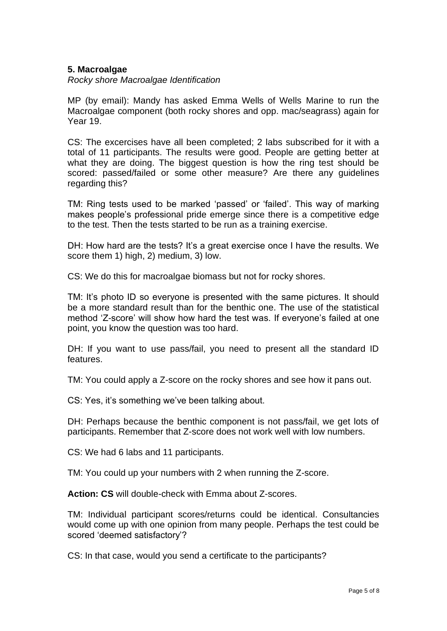# **5. Macroalgae**

*Rocky shore Macroalgae Identification*

MP (by email): Mandy has asked Emma Wells of Wells Marine to run the Macroalgae component (both rocky shores and opp. mac/seagrass) again for Year 19.

CS: The excercises have all been completed; 2 labs subscribed for it with a total of 11 participants. The results were good. People are getting better at what they are doing. The biggest question is how the ring test should be scored: passed/failed or some other measure? Are there any guidelines regarding this?

TM: Ring tests used to be marked 'passed' or 'failed'. This way of marking makes people's professional pride emerge since there is a competitive edge to the test. Then the tests started to be run as a training exercise.

DH: How hard are the tests? It's a great exercise once I have the results. We score them 1) high, 2) medium, 3) low.

CS: We do this for macroalgae biomass but not for rocky shores.

TM: It's photo ID so everyone is presented with the same pictures. It should be a more standard result than for the benthic one. The use of the statistical method 'Z-score' will show how hard the test was. If everyone's failed at one point, you know the question was too hard.

DH: If you want to use pass/fail, you need to present all the standard ID features.

TM: You could apply a Z-score on the rocky shores and see how it pans out.

CS: Yes, it's something we've been talking about.

DH: Perhaps because the benthic component is not pass/fail, we get lots of participants. Remember that Z-score does not work well with low numbers.

CS: We had 6 labs and 11 participants.

TM: You could up your numbers with 2 when running the Z-score.

**Action: CS** will double-check with Emma about Z-scores.

TM: Individual participant scores/returns could be identical. Consultancies would come up with one opinion from many people. Perhaps the test could be scored 'deemed satisfactory'?

CS: In that case, would you send a certificate to the participants?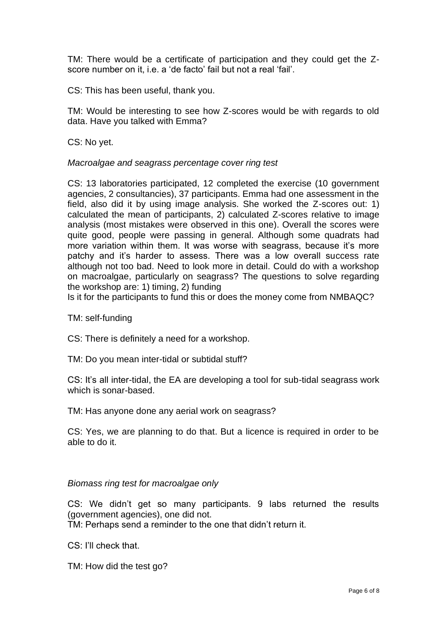TM: There would be a certificate of participation and they could get the Zscore number on it, i.e. a 'de facto' fail but not a real 'fail'.

CS: This has been useful, thank you.

TM: Would be interesting to see how Z-scores would be with regards to old data. Have you talked with Emma?

CS: No yet.

*Macroalgae and seagrass percentage cover ring test*

CS: 13 laboratories participated, 12 completed the exercise (10 government agencies, 2 consultancies), 37 participants. Emma had one assessment in the field, also did it by using image analysis. She worked the Z-scores out: 1) calculated the mean of participants, 2) calculated Z-scores relative to image analysis (most mistakes were observed in this one). Overall the scores were quite good, people were passing in general. Although some quadrats had more variation within them. It was worse with seagrass, because it's more patchy and it's harder to assess. There was a low overall success rate although not too bad. Need to look more in detail. Could do with a workshop on macroalgae, particularly on seagrass? The questions to solve regarding the workshop are: 1) timing, 2) funding

Is it for the participants to fund this or does the money come from NMBAQC?

TM: self-funding

CS: There is definitely a need for a workshop.

TM: Do you mean inter-tidal or subtidal stuff?

CS: It's all inter-tidal, the EA are developing a tool for sub-tidal seagrass work which is sonar-based.

TM: Has anyone done any aerial work on seagrass?

CS: Yes, we are planning to do that. But a licence is required in order to be able to do it.

*Biomass ring test for macroalgae only*

CS: We didn't get so many participants. 9 labs returned the results (government agencies), one did not.

TM: Perhaps send a reminder to the one that didn't return it.

CS: I'll check that.

TM: How did the test go?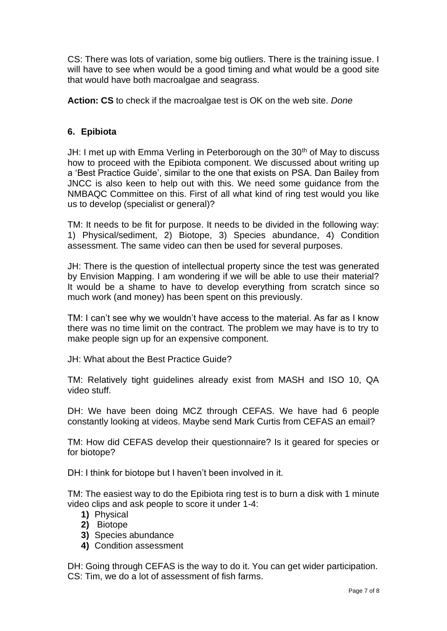CS: There was lots of variation, some big outliers. There is the training issue. I will have to see when would be a good timing and what would be a good site that would have both macroalgae and seagrass.

**Action: CS** to check if the macroalgae test is OK on the web site. *Done*

# **6. Epibiota**

JH: I met up with Emma Verling in Peterborough on the  $30<sup>th</sup>$  of May to discuss how to proceed with the Epibiota component. We discussed about writing up a 'Best Practice Guide', similar to the one that exists on PSA. Dan Bailey from JNCC is also keen to help out with this. We need some guidance from the NMBAQC Committee on this. First of all what kind of ring test would you like us to develop (specialist or general)?

TM: It needs to be fit for purpose. It needs to be divided in the following way: 1) Physical/sediment, 2) Biotope, 3) Species abundance, 4) Condition assessment. The same video can then be used for several purposes.

JH: There is the question of intellectual property since the test was generated by Envision Mapping. I am wondering if we will be able to use their material? It would be a shame to have to develop everything from scratch since so much work (and money) has been spent on this previously.

TM: I can't see why we wouldn't have access to the material. As far as I know there was no time limit on the contract. The problem we may have is to try to make people sign up for an expensive component.

JH: What about the Best Practice Guide?

TM: Relatively tight guidelines already exist from MASH and ISO 10, QA video stuff.

DH: We have been doing MCZ through CEFAS. We have had 6 people constantly looking at videos. Maybe send Mark Curtis from CEFAS an email?

TM: How did CEFAS develop their questionnaire? Is it geared for species or for biotope?

DH: I think for biotope but I haven't been involved in it.

TM: The easiest way to do the Epibiota ring test is to burn a disk with 1 minute video clips and ask people to score it under 1-4:

- **1)** Physical
- **2)** Biotope
- **3)** Species abundance
- **4)** Condition assessment

DH: Going through CEFAS is the way to do it. You can get wider participation. CS: Tim, we do a lot of assessment of fish farms.